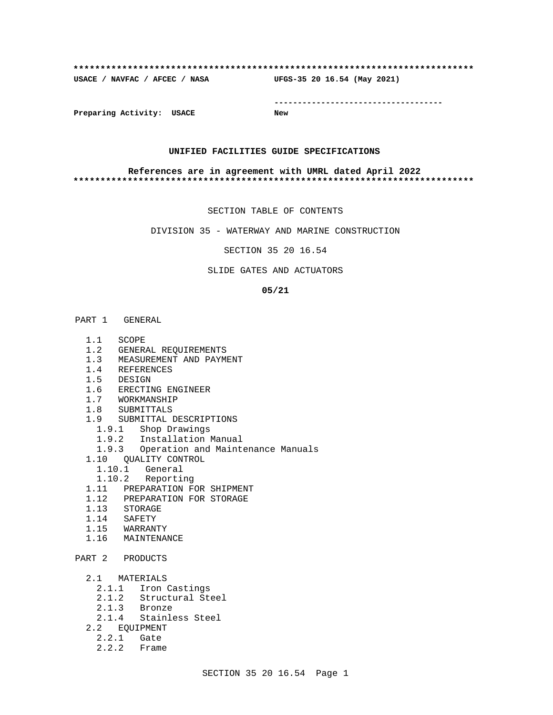#### **\*\*\*\*\*\*\*\*\*\*\*\*\*\*\*\*\*\*\*\*\*\*\*\*\*\*\*\*\*\*\*\*\*\*\*\*\*\*\*\*\*\*\*\*\*\*\*\*\*\*\*\*\*\*\*\*\*\*\*\*\*\*\*\*\*\*\*\*\*\*\*\*\*\***

**USACE / NAVFAC / AFCEC / NASA UFGS-35 20 16.54 (May 2021)**

**------------------------------------**

**Preparing Activity: USACE New**

### **UNIFIED FACILITIES GUIDE SPECIFICATIONS**

#### **References are in agreement with UMRL dated April 2022 \*\*\*\*\*\*\*\*\*\*\*\*\*\*\*\*\*\*\*\*\*\*\*\*\*\*\*\*\*\*\*\*\*\*\*\*\*\*\*\*\*\*\*\*\*\*\*\*\*\*\*\*\*\*\*\*\*\*\*\*\*\*\*\*\*\*\*\*\*\*\*\*\*\***

SECTION TABLE OF CONTENTS

DIVISION 35 - WATERWAY AND MARINE CONSTRUCTION

SECTION 35 20 16.54

### SLIDE GATES AND ACTUATORS

#### **05/21**

# PART 1 GENERAL

- 1.1 SCOPE
- 1.2 GENERAL REQUIREMENTS
- 1.3 MEASUREMENT AND PAYMENT
- 1.4 REFERENCES
- 1.5 DESIGN
- 1.6 ERECTING ENGINEER
- 1.7 WORKMANSHIP
- 1.8 SUBMITTALS
- 1.9 SUBMITTAL DESCRIPTIONS
	- 1.9.1 Shop Drawings
	- 1.9.2 Installation Manual
- 1.9.3 Operation and Maintenance Manuals
- 1.10 QUALITY CONTROL
	- 1.10.1 General
- 1.10.2 Reporting
- 1.11 PREPARATION FOR SHIPMENT
- 1.12 PREPARATION FOR STORAGE
- 1.13 STORAGE
- 1.14 SAFETY
- 1.15 WARRANTY
- 1.16 MAINTENANCE

```
PART 2 PRODUCTS
```

```
 2.1 MATERIALS
```
- 2.1.1 Iron Castings
- 2.1.2 Structural Steel
- 2.1.3 Bronze
- 2.1.4 Stainless Steel
- 2.2 EQUIPMENT
- 2.2.1 Gate
- 2.2.2 Frame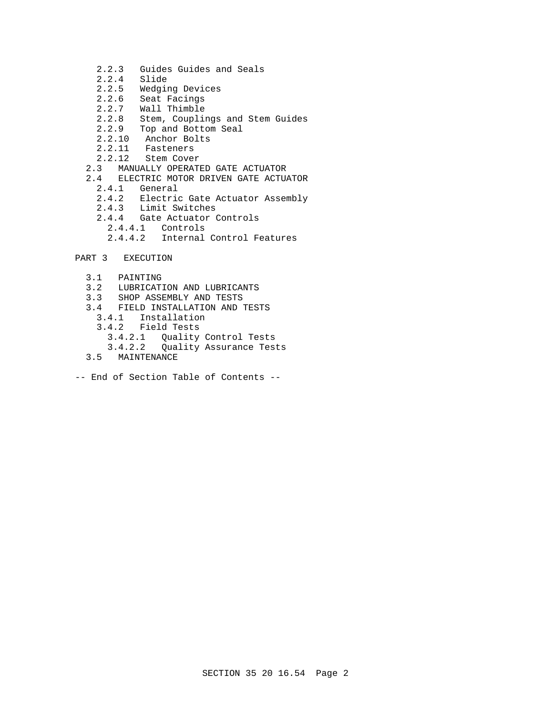- 2.2.3 Guides Guides and Seals
- 2.2.4 Slide
- 2.2.5 Wedging Devices
- 2.2.6 Seat Facings<br>2.2.7 Wall Thimble
- Wall Thimble
- 2.2.8 Stem, Couplings and Stem Guides
- 2.2.9 Top and Bottom Seal
	- 2.2.10 Anchor Bolts
	- 2.2.11 Fasteners
	- 2.2.12 Stem Cover
	- 2.3 MANUALLY OPERATED GATE ACTUATOR
	- 2.4 ELECTRIC MOTOR DRIVEN GATE ACTUATOR
		- 2.4.1 General
		- 2.4.2 Electric Gate Actuator Assembly
		- 2.4.3 Limit Switches
		- 2.4.4 Gate Actuator Controls
			- 2.4.4.1 Controls
			- 2.4.4.2 Internal Control Features
- PART 3 EXECUTION
	- 3.1 PAINTING
	- 3.2 LUBRICATION AND LUBRICANTS
	- 3.3 SHOP ASSEMBLY AND TESTS
	- 3.4 FIELD INSTALLATION AND TESTS
	- 3.4.1 Installation
	- 3.4.2 Field Tests
	- 3.4.2.1 Quality Control Tests
	- Quality Assurance Tests
	- 3.5 MAINTENANCE
- -- End of Section Table of Contents --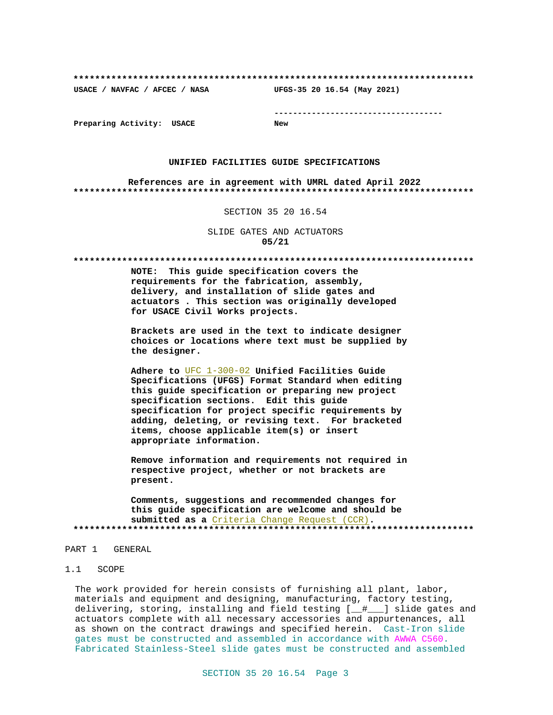**\*\*\*\*\*\*\*\*\*\*\*\*\*\*\*\*\*\*\*\*\*\*\*\*\*\*\*\*\*\*\*\*\*\*\*\*\*\*\*\*\*\*\*\*\*\*\*\*\*\*\*\*\*\*\*\*\*\*\*\*\*\*\*\*\*\*\*\*\*\*\*\*\*\***

**USACE / NAVFAC / AFCEC / NASA UFGS-35 20 16.54 (May 2021)**

**------------------------------------**

**Preparing Activity: USACE New**

#### **UNIFIED FACILITIES GUIDE SPECIFICATIONS**

**References are in agreement with UMRL dated April 2022 \*\*\*\*\*\*\*\*\*\*\*\*\*\*\*\*\*\*\*\*\*\*\*\*\*\*\*\*\*\*\*\*\*\*\*\*\*\*\*\*\*\*\*\*\*\*\*\*\*\*\*\*\*\*\*\*\*\*\*\*\*\*\*\*\*\*\*\*\*\*\*\*\*\***

#### SECTION 35 20 16.54

SLIDE GATES AND ACTUATORS **05/21**

**\*\*\*\*\*\*\*\*\*\*\*\*\*\*\*\*\*\*\*\*\*\*\*\*\*\*\*\*\*\*\*\*\*\*\*\*\*\*\*\*\*\*\*\*\*\*\*\*\*\*\*\*\*\*\*\*\*\*\*\*\*\*\*\*\*\*\*\*\*\*\*\*\*\***

**NOTE: This guide specification covers the requirements for the fabrication, assembly, delivery, and installation of slide gates and actuators . This section was originally developed for USACE Civil Works projects.**

**Brackets are used in the text to indicate designer choices or locations where text must be supplied by the designer.**

**Adhere to** UFC 1-300-02 **Unified Facilities Guide Specifications (UFGS) Format Standard when editing this guide specification or preparing new project specification sections. Edit this guide specification for project specific requirements by adding, deleting, or revising text. For bracketed items, choose applicable item(s) or insert appropriate information.**

**Remove information and requirements not required in respective project, whether or not brackets are present.**

**Comments, suggestions and recommended changes for this guide specification are welcome and should be submitted as a** Criteria Change Request (CCR)**. \*\*\*\*\*\*\*\*\*\*\*\*\*\*\*\*\*\*\*\*\*\*\*\*\*\*\*\*\*\*\*\*\*\*\*\*\*\*\*\*\*\*\*\*\*\*\*\*\*\*\*\*\*\*\*\*\*\*\*\*\*\*\*\*\*\*\*\*\*\*\*\*\*\***

### PART 1 GENERAL

#### 1.1 SCOPE

The work provided for herein consists of furnishing all plant, labor, materials and equipment and designing, manufacturing, factory testing, delivering, storing, installing and field testing [\_\_#\_\_\_] slide gates and actuators complete with all necessary accessories and appurtenances, all as shown on the contract drawings and specified herein. Cast-Iron slide gates must be constructed and assembled in accordance with AWWA C560. Fabricated Stainless-Steel slide gates must be constructed and assembled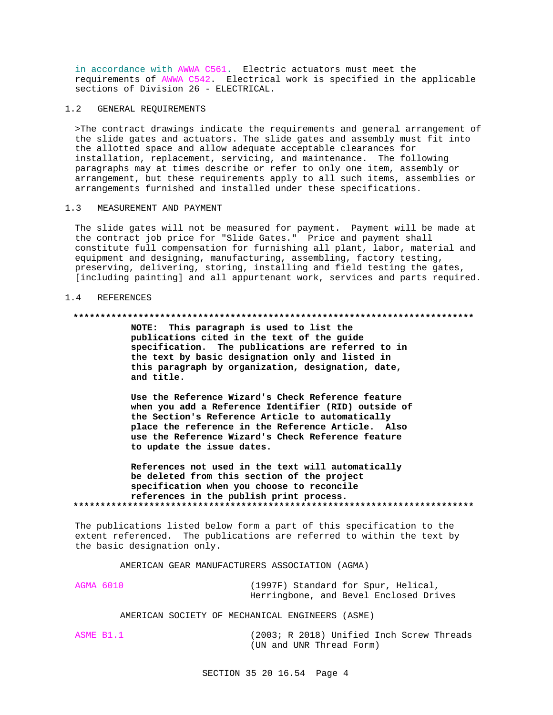in accordance with AWWA C561. Electric actuators must meet the requirements of AWWA C542. Electrical work is specified in the applicable sections of Division 26 - ELECTRICAL.

### 1.2 GENERAL REQUIREMENTS

>The contract drawings indicate the requirements and general arrangement of the slide gates and actuators. The slide gates and assembly must fit into the allotted space and allow adequate acceptable clearances for installation, replacement, servicing, and maintenance. The following paragraphs may at times describe or refer to only one item, assembly or arrangement, but these requirements apply to all such items, assemblies or arrangements furnished and installed under these specifications.

## 1.3 MEASUREMENT AND PAYMENT

The slide gates will not be measured for payment. Payment will be made at the contract job price for "Slide Gates." Price and payment shall constitute full compensation for furnishing all plant, labor, material and equipment and designing, manufacturing, assembling, factory testing, preserving, delivering, storing, installing and field testing the gates, [including painting] and all appurtenant work, services and parts required.

### 1.4 REFERENCES

#### **\*\*\*\*\*\*\*\*\*\*\*\*\*\*\*\*\*\*\*\*\*\*\*\*\*\*\*\*\*\*\*\*\*\*\*\*\*\*\*\*\*\*\*\*\*\*\*\*\*\*\*\*\*\*\*\*\*\*\*\*\*\*\*\*\*\*\*\*\*\*\*\*\*\***

**NOTE: This paragraph is used to list the publications cited in the text of the guide specification. The publications are referred to in the text by basic designation only and listed in this paragraph by organization, designation, date, and title.**

**Use the Reference Wizard's Check Reference feature when you add a Reference Identifier (RID) outside of the Section's Reference Article to automatically place the reference in the Reference Article. Also use the Reference Wizard's Check Reference feature to update the issue dates.**

**References not used in the text will automatically be deleted from this section of the project specification when you choose to reconcile references in the publish print process. \*\*\*\*\*\*\*\*\*\*\*\*\*\*\*\*\*\*\*\*\*\*\*\*\*\*\*\*\*\*\*\*\*\*\*\*\*\*\*\*\*\*\*\*\*\*\*\*\*\*\*\*\*\*\*\*\*\*\*\*\*\*\*\*\*\*\*\*\*\*\*\*\*\***

The publications listed below form a part of this specification to the extent referenced. The publications are referred to within the text by the basic designation only.

### AMERICAN GEAR MANUFACTURERS ASSOCIATION (AGMA)

AGMA 6010 (1997F) Standard for Spur, Helical, Herringbone, and Bevel Enclosed Drives

#### AMERICAN SOCIETY OF MECHANICAL ENGINEERS (ASME)

ASME B1.1 (2003; R 2018) Unified Inch Screw Threads (UN and UNR Thread Form)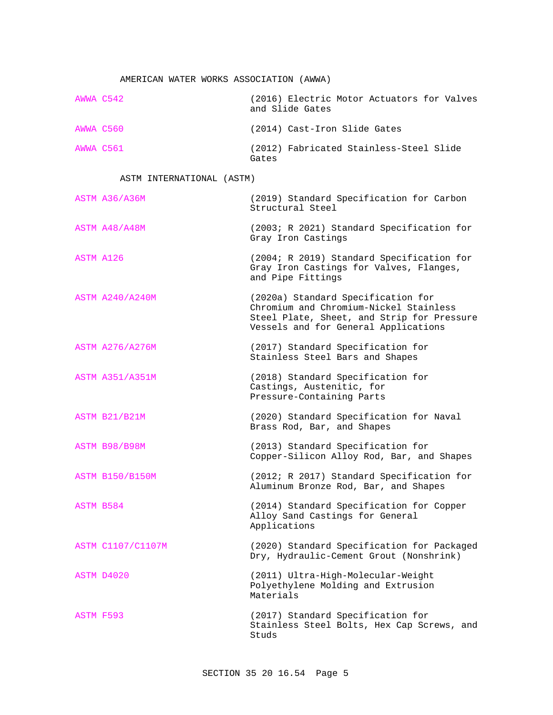# AMERICAN WATER WORKS ASSOCIATION (AWWA)

|           | AWWA C542 | (2016) Electric Motor Actuators for Valves<br>and Slide Gates |
|-----------|-----------|---------------------------------------------------------------|
| AWWA C560 |           | (2014) Cast-Iron Slide Gates                                  |
| AWWA C561 |           | (2012) Fabricated Stainless-Steel Slide<br>Gates              |

# ASTM INTERNATIONAL (ASTM)

| ASTM A36/A36M          | (2019) Standard Specification for Carbon<br>Structural Steel                                                                                                       |
|------------------------|--------------------------------------------------------------------------------------------------------------------------------------------------------------------|
| ASTM A48/A48M          | (2003; R 2021) Standard Specification for<br>Gray Iron Castings                                                                                                    |
| ASTM A126              | (2004; R 2019) Standard Specification for<br>Gray Iron Castings for Valves, Flanges,<br>and Pipe Fittings                                                          |
| <b>ASTM A240/A240M</b> | (2020a) Standard Specification for<br>Chromium and Chromium-Nickel Stainless<br>Steel Plate, Sheet, and Strip for Pressure<br>Vessels and for General Applications |
| <b>ASTM A276/A276M</b> | (2017) Standard Specification for<br>Stainless Steel Bars and Shapes                                                                                               |
| <b>ASTM A351/A351M</b> | (2018) Standard Specification for<br>Castings, Austenitic, for<br>Pressure-Containing Parts                                                                        |
| ASTM B21/B21M          | (2020) Standard Specification for Naval<br>Brass Rod, Bar, and Shapes                                                                                              |
| ASTM B98/B98M          | (2013) Standard Specification for<br>Copper-Silicon Alloy Rod, Bar, and Shapes                                                                                     |
| <b>ASTM B150/B150M</b> | (2012; R 2017) Standard Specification for<br>Aluminum Bronze Rod, Bar, and Shapes                                                                                  |
| ASTM B584              | (2014) Standard Specification for Copper<br>Alloy Sand Castings for General<br>Applications                                                                        |
| ASTM C1107/C1107M      | (2020) Standard Specification for Packaged<br>Dry, Hydraulic-Cement Grout (Nonshrink)                                                                              |
| ASTM D4020             | (2011) Ultra-High-Molecular-Weight<br>Polyethylene Molding and Extrusion<br>Materials                                                                              |
| <b>ASTM F593</b>       | (2017) Standard Specification for<br>Stainless Steel Bolts, Hex Cap Screws, and<br>Studs                                                                           |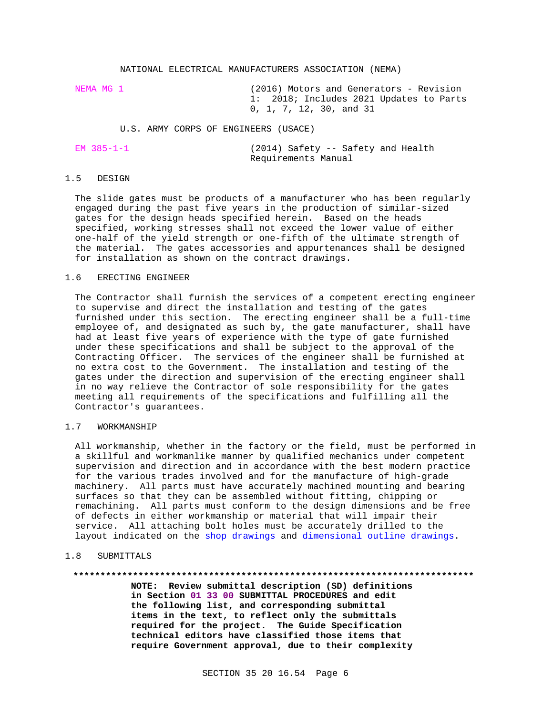#### NATIONAL ELECTRICAL MANUFACTURERS ASSOCIATION (NEMA)

NEMA MG 1 (2016) Motors and Generators - Revision 1: 2018; Includes 2021 Updates to Parts 0, 1, 7, 12, 30, and 31

U.S. ARMY CORPS OF ENGINEERS (USACE)

(2014) Safety -- Safety and Health Requirements Manual

### 1.5 DESIGN

The slide gates must be products of a manufacturer who has been regularly engaged during the past five years in the production of similar-sized gates for the design heads specified herein. Based on the heads specified, working stresses shall not exceed the lower value of either one-half of the yield strength or one-fifth of the ultimate strength of the material. The gates accessories and appurtenances shall be designed for installation as shown on the contract drawings.

### 1.6 ERECTING ENGINEER

The Contractor shall furnish the services of a competent erecting engineer to supervise and direct the installation and testing of the gates furnished under this section. The erecting engineer shall be a full-time employee of, and designated as such by, the gate manufacturer, shall have had at least five years of experience with the type of gate furnished under these specifications and shall be subject to the approval of the Contracting Officer. The services of the engineer shall be furnished at no extra cost to the Government. The installation and testing of the gates under the direction and supervision of the erecting engineer shall in no way relieve the Contractor of sole responsibility for the gates meeting all requirements of the specifications and fulfilling all the Contractor's guarantees.

#### 1.7 WORKMANSHIP

All workmanship, whether in the factory or the field, must be performed in a skillful and workmanlike manner by qualified mechanics under competent supervision and direction and in accordance with the best modern practice for the various trades involved and for the manufacture of high-grade machinery. All parts must have accurately machined mounting and bearing surfaces so that they can be assembled without fitting, chipping or remachining. All parts must conform to the design dimensions and be free of defects in either workmanship or material that will impair their service. All attaching bolt holes must be accurately drilled to the layout indicated on the shop drawings and dimensional outline drawings.

### 1.8 SUBMITTALS

#### **\*\*\*\*\*\*\*\*\*\*\*\*\*\*\*\*\*\*\*\*\*\*\*\*\*\*\*\*\*\*\*\*\*\*\*\*\*\*\*\*\*\*\*\*\*\*\*\*\*\*\*\*\*\*\*\*\*\*\*\*\*\*\*\*\*\*\*\*\*\*\*\*\*\***

**NOTE: Review submittal description (SD) definitions in Section 01 33 00 SUBMITTAL PROCEDURES and edit the following list, and corresponding submittal items in the text, to reflect only the submittals required for the project. The Guide Specification technical editors have classified those items that require Government approval, due to their complexity**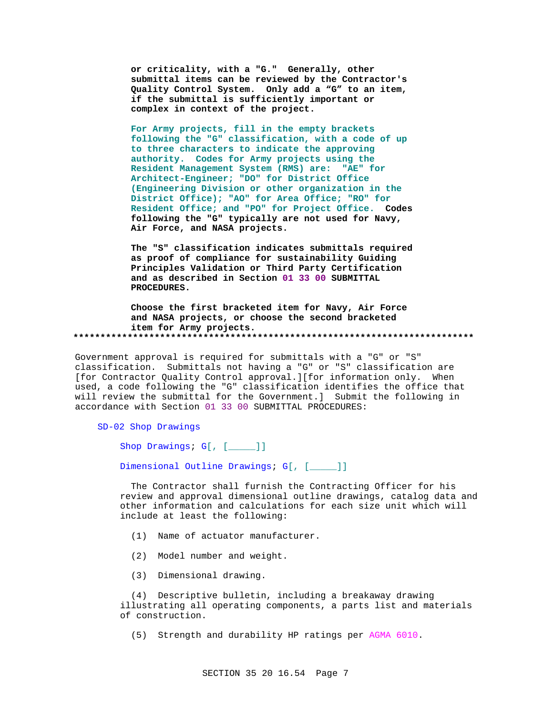**or criticality, with a "G." Generally, other submittal items can be reviewed by the Contractor's Quality Control System. Only add a "G" to an item, if the submittal is sufficiently important or complex in context of the project.**

**For Army projects, fill in the empty brackets following the "G" classification, with a code of up to three characters to indicate the approving authority. Codes for Army projects using the Resident Management System (RMS) are: "AE" for Architect-Engineer; "DO" for District Office (Engineering Division or other organization in the District Office); "AO" for Area Office; "RO" for Resident Office; and "PO" for Project Office. Codes following the "G" typically are not used for Navy, Air Force, and NASA projects.**

**The "S" classification indicates submittals required as proof of compliance for sustainability Guiding Principles Validation or Third Party Certification and as described in Section 01 33 00 SUBMITTAL PROCEDURES.**

**Choose the first bracketed item for Navy, Air Force and NASA projects, or choose the second bracketed item for Army projects. \*\*\*\*\*\*\*\*\*\*\*\*\*\*\*\*\*\*\*\*\*\*\*\*\*\*\*\*\*\*\*\*\*\*\*\*\*\*\*\*\*\*\*\*\*\*\*\*\*\*\*\*\*\*\*\*\*\*\*\*\*\*\*\*\*\*\*\*\*\*\*\*\*\***

Government approval is required for submittals with a "G" or "S" classification. Submittals not having a "G" or "S" classification are [for Contractor Quality Control approval.][for information only. When used, a code following the "G" classification identifies the office that will review the submittal for the Government.] Submit the following in accordance with Section 01 33 00 SUBMITTAL PROCEDURES:

SD-02 Shop Drawings

Shop Drawings; G[, [\_\_\_\_]]

Dimensional Outline Drawings; G[, [\_\_\_\_]]

 The Contractor shall furnish the Contracting Officer for his review and approval dimensional outline drawings, catalog data and other information and calculations for each size unit which will include at least the following:

- (1) Name of actuator manufacturer.
- (2) Model number and weight.
- (3) Dimensional drawing.

 (4) Descriptive bulletin, including a breakaway drawing illustrating all operating components, a parts list and materials of construction.

(5) Strength and durability HP ratings per AGMA 6010.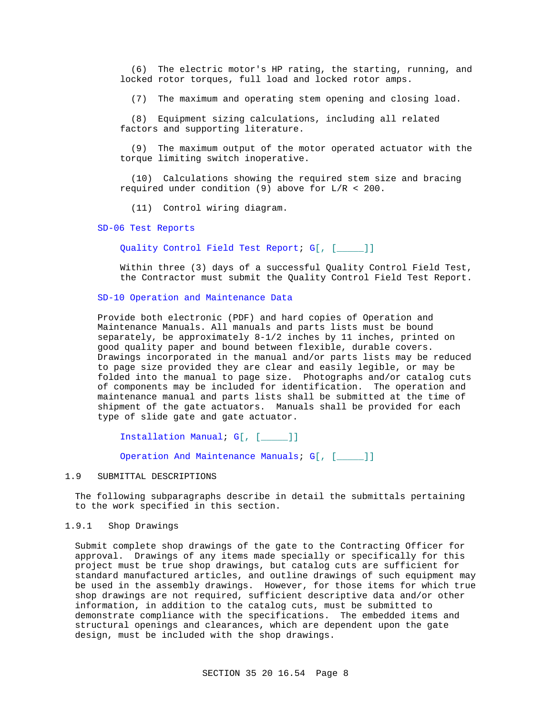(6) The electric motor's HP rating, the starting, running, and locked rotor torques, full load and locked rotor amps.

(7) The maximum and operating stem opening and closing load.

 (8) Equipment sizing calculations, including all related factors and supporting literature.

 (9) The maximum output of the motor operated actuator with the torque limiting switch inoperative.

 (10) Calculations showing the required stem size and bracing required under condition (9) above for  $L/R < 200$ .

(11) Control wiring diagram.

#### SD-06 Test Reports

Quality Control Field Test Report; G[, [\_\_\_\_\_]]

Within three (3) days of a successful Quality Control Field Test, the Contractor must submit the Quality Control Field Test Report.

### SD-10 Operation and Maintenance Data

Provide both electronic (PDF) and hard copies of Operation and Maintenance Manuals. All manuals and parts lists must be bound separately, be approximately 8-1/2 inches by 11 inches, printed on good quality paper and bound between flexible, durable covers. Drawings incorporated in the manual and/or parts lists may be reduced to page size provided they are clear and easily legible, or may be folded into the manual to page size. Photographs and/or catalog cuts of components may be included for identification. The operation and maintenance manual and parts lists shall be submitted at the time of shipment of the gate actuators. Manuals shall be provided for each type of slide gate and gate actuator.

Installation Manual; G[, [\_\_\_\_\_]]

Operation And Maintenance Manuals; G[, [\_\_\_\_\_]]

### 1.9 SUBMITTAL DESCRIPTIONS

The following subparagraphs describe in detail the submittals pertaining to the work specified in this section.

#### 1.9.1 Shop Drawings

Submit complete shop drawings of the gate to the Contracting Officer for approval. Drawings of any items made specially or specifically for this project must be true shop drawings, but catalog cuts are sufficient for standard manufactured articles, and outline drawings of such equipment may be used in the assembly drawings. However, for those items for which true shop drawings are not required, sufficient descriptive data and/or other information, in addition to the catalog cuts, must be submitted to demonstrate compliance with the specifications. The embedded items and structural openings and clearances, which are dependent upon the gate design, must be included with the shop drawings.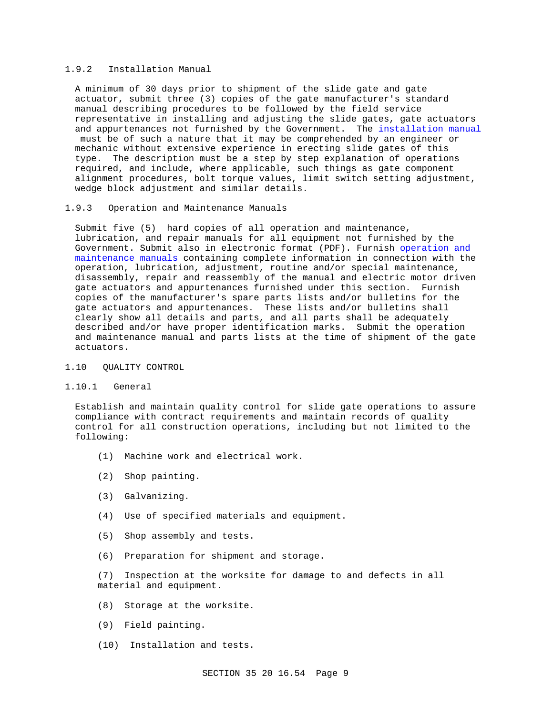### 1.9.2 Installation Manual

A minimum of 30 days prior to shipment of the slide gate and gate actuator, submit three (3) copies of the gate manufacturer's standard manual describing procedures to be followed by the field service representative in installing and adjusting the slide gates, gate actuators and appurtenances not furnished by the Government. The installation manual must be of such a nature that it may be comprehended by an engineer or mechanic without extensive experience in erecting slide gates of this type. The description must be a step by step explanation of operations required, and include, where applicable, such things as gate component alignment procedures, bolt torque values, limit switch setting adjustment, wedge block adjustment and similar details.

### 1.9.3 Operation and Maintenance Manuals

Submit five (5) hard copies of all operation and maintenance, lubrication, and repair manuals for all equipment not furnished by the Government. Submit also in electronic format (PDF). Furnish operation and maintenance manuals containing complete information in connection with the operation, lubrication, adjustment, routine and/or special maintenance, disassembly, repair and reassembly of the manual and electric motor driven gate actuators and appurtenances furnished under this section. Furnish copies of the manufacturer's spare parts lists and/or bulletins for the gate actuators and appurtenances. These lists and/or bulletins shall clearly show all details and parts, and all parts shall be adequately described and/or have proper identification marks. Submit the operation and maintenance manual and parts lists at the time of shipment of the gate actuators.

#### 1.10 QUALITY CONTROL

### 1.10.1 General

Establish and maintain quality control for slide gate operations to assure compliance with contract requirements and maintain records of quality control for all construction operations, including but not limited to the following:

- (1) Machine work and electrical work.
- (2) Shop painting.
- (3) Galvanizing.
- (4) Use of specified materials and equipment.
- (5) Shop assembly and tests.
- (6) Preparation for shipment and storage.

(7) Inspection at the worksite for damage to and defects in all material and equipment.

- (8) Storage at the worksite.
- (9) Field painting.
- (10) Installation and tests.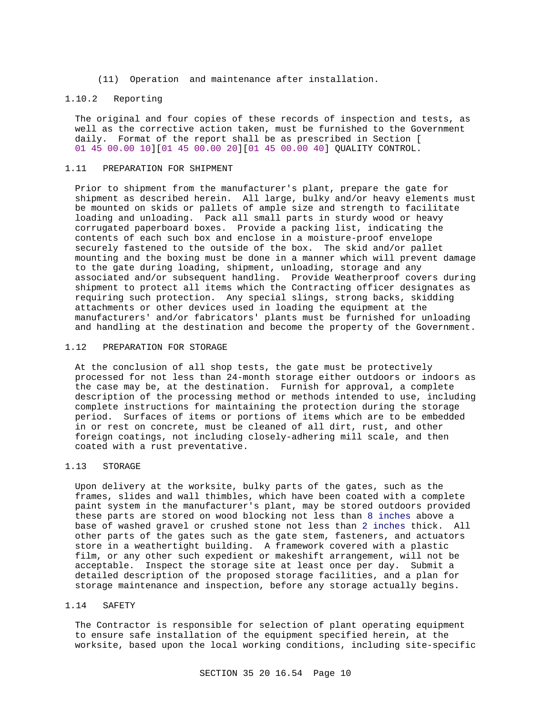(11) Operation and maintenance after installation.

### 1.10.2 Reporting

The original and four copies of these records of inspection and tests, as well as the corrective action taken, must be furnished to the Government daily. Format of the report shall be as prescribed in Section [ 01 45 00.00 10][01 45 00.00 20][01 45 00.00 40] QUALITY CONTROL.

#### 1.11 PREPARATION FOR SHIPMENT

Prior to shipment from the manufacturer's plant, prepare the gate for shipment as described herein. All large, bulky and/or heavy elements must be mounted on skids or pallets of ample size and strength to facilitate loading and unloading. Pack all small parts in sturdy wood or heavy corrugated paperboard boxes. Provide a packing list, indicating the contents of each such box and enclose in a moisture-proof envelope securely fastened to the outside of the box. The skid and/or pallet mounting and the boxing must be done in a manner which will prevent damage to the gate during loading, shipment, unloading, storage and any associated and/or subsequent handling. Provide Weatherproof covers during shipment to protect all items which the Contracting officer designates as requiring such protection. Any special slings, strong backs, skidding attachments or other devices used in loading the equipment at the manufacturers' and/or fabricators' plants must be furnished for unloading and handling at the destination and become the property of the Government.

### 1.12 PREPARATION FOR STORAGE

At the conclusion of all shop tests, the gate must be protectively processed for not less than 24-month storage either outdoors or indoors as the case may be, at the destination. Furnish for approval, a complete description of the processing method or methods intended to use, including complete instructions for maintaining the protection during the storage period. Surfaces of items or portions of items which are to be embedded in or rest on concrete, must be cleaned of all dirt, rust, and other foreign coatings, not including closely-adhering mill scale, and then coated with a rust preventative.

### 1.13 STORAGE

Upon delivery at the worksite, bulky parts of the gates, such as the frames, slides and wall thimbles, which have been coated with a complete paint system in the manufacturer's plant, may be stored outdoors provided these parts are stored on wood blocking not less than 8 inches above a base of washed gravel or crushed stone not less than 2 inches thick. All other parts of the gates such as the gate stem, fasteners, and actuators store in a weathertight building. A framework covered with a plastic film, or any other such expedient or makeshift arrangement, will not be acceptable. Inspect the storage site at least once per day. Submit a detailed description of the proposed storage facilities, and a plan for storage maintenance and inspection, before any storage actually begins.

## 1.14 SAFETY

The Contractor is responsible for selection of plant operating equipment to ensure safe installation of the equipment specified herein, at the worksite, based upon the local working conditions, including site-specific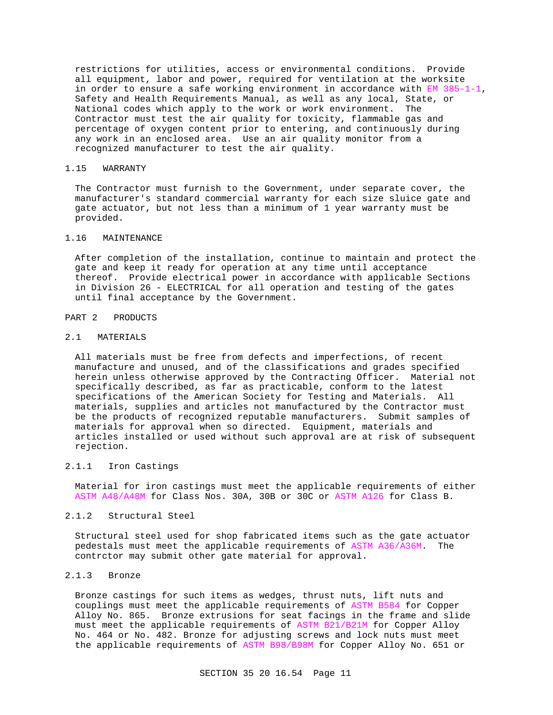restrictions for utilities, access or environmental conditions. Provide all equipment, labor and power, required for ventilation at the worksite in order to ensure a safe working environment in accordance with EM 385-1-1, Safety and Health Requirements Manual, as well as any local, State, or National codes which apply to the work or work environment. The Contractor must test the air quality for toxicity, flammable gas and percentage of oxygen content prior to entering, and continuously during any work in an enclosed area. Use an air quality monitor from a recognized manufacturer to test the air quality.

#### 1.15 WARRANTY

The Contractor must furnish to the Government, under separate cover, the manufacturer's standard commercial warranty for each size sluice gate and gate actuator, but not less than a minimum of 1 year warranty must be provided.

### 1.16 MAINTENANCE

After completion of the installation, continue to maintain and protect the gate and keep it ready for operation at any time until acceptance thereof. Provide electrical power in accordance with applicable Sections in Division 26 - ELECTRICAL for all operation and testing of the gates until final acceptance by the Government.

### PART 2 PRODUCTS

## 2.1 MATERIALS

All materials must be free from defects and imperfections, of recent manufacture and unused, and of the classifications and grades specified herein unless otherwise approved by the Contracting Officer. Material not specifically described, as far as practicable, conform to the latest specifications of the American Society for Testing and Materials. All materials, supplies and articles not manufactured by the Contractor must be the products of recognized reputable manufacturers. Submit samples of materials for approval when so directed. Equipment, materials and articles installed or used without such approval are at risk of subsequent rejection.

### 2.1.1 Iron Castings

Material for iron castings must meet the applicable requirements of either ASTM A48/A48M for Class Nos. 30A, 30B or 30C or ASTM A126 for Class B.

#### 2.1.2 Structural Steel

Structural steel used for shop fabricated items such as the gate actuator pedestals must meet the applicable requirements of ASTM A36/A36M. The contrctor may submit other gate material for approval.

# 2.1.3 Bronze

Bronze castings for such items as wedges, thrust nuts, lift nuts and couplings must meet the applicable requirements of ASTM B584 for Copper Alloy No. 865. Bronze extrusions for seat facings in the frame and slide must meet the applicable requirements of ASTM B21/B21M for Copper Alloy No. 464 or No. 482. Bronze for adjusting screws and lock nuts must meet the applicable requirements of ASTM B98/B98M for Copper Alloy No. 651 or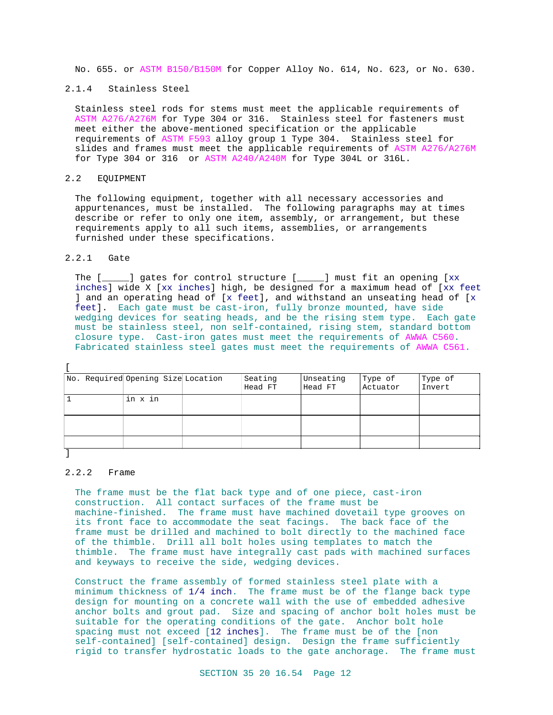No. 655. or ASTM B150/B150M for Copper Alloy No. 614, No. 623, or No. 630.

### 2.1.4 Stainless Steel

Stainless steel rods for stems must meet the applicable requirements of ASTM A276/A276M for Type 304 or 316. Stainless steel for fasteners must meet either the above-mentioned specification or the applicable requirements of ASTM F593 alloy group 1 Type 304. Stainless steel for slides and frames must meet the applicable requirements of ASTM A276/A276M for Type 304 or 316 or ASTM A240/A240M for Type 304L or 316L.

### 2.2 EQUIPMENT

The following equipment, together with all necessary accessories and appurtenances, must be installed. The following paragraphs may at times describe or refer to only one item, assembly, or arrangement, but these requirements apply to all such items, assemblies, or arrangements furnished under these specifications.

## 2.2.1 Gate

 $\overline{[}$ 

The [\_\_\_\_\_] gates for control structure [\_\_\_\_\_] must fit an opening [xx inches] wide X [xx inches] high, be designed for a maximum head of [xx feet ] and an operating head of [x feet], and withstand an unseating head of [x feet]. Each gate must be cast-iron, fully bronze mounted, have side wedging devices for seating heads, and be the rising stem type. Each gate must be stainless steel, non self-contained, rising stem, standard bottom closure type. Cast-iron gates must meet the requirements of AWWA C560. Fabricated stainless steel gates must meet the requirements of AWWA C561.

| No. Required Opening Size Location | Seating<br>Head FT | Unseating<br>Head FT | Type of<br>Actuator | Type of<br>Invert |
|------------------------------------|--------------------|----------------------|---------------------|-------------------|
| in x in                            |                    |                      |                     |                   |
|                                    |                    |                      |                     |                   |
|                                    |                    |                      |                     |                   |

2.2.2 Frame

The frame must be the flat back type and of one piece, cast-iron construction. All contact surfaces of the frame must be machine-finished. The frame must have machined dovetail type grooves on its front face to accommodate the seat facings. The back face of the frame must be drilled and machined to bolt directly to the machined face of the thimble. Drill all bolt holes using templates to match the thimble. The frame must have integrally cast pads with machined surfaces and keyways to receive the side, wedging devices.

Construct the frame assembly of formed stainless steel plate with a minimum thickness of 1/4 inch. The frame must be of the flange back type design for mounting on a concrete wall with the use of embedded adhesive anchor bolts and grout pad. Size and spacing of anchor bolt holes must be suitable for the operating conditions of the gate. Anchor bolt hole spacing must not exceed [12 inches]. The frame must be of the [non self-contained] [self-contained] design. Design the frame sufficiently rigid to transfer hydrostatic loads to the gate anchorage. The frame must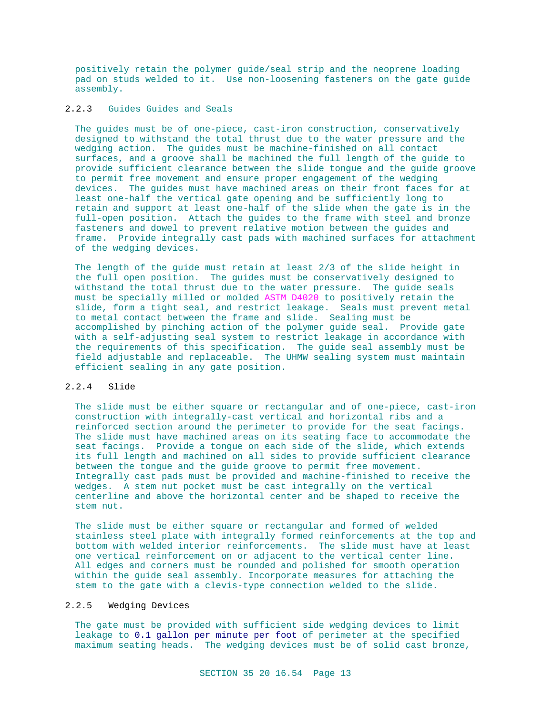positively retain the polymer guide/seal strip and the neoprene loading pad on studs welded to it. Use non-loosening fasteners on the gate guide assembly.

# 2.2.3 Guides Guides and Seals

The guides must be of one-piece, cast-iron construction, conservatively designed to withstand the total thrust due to the water pressure and the wedging action. The guides must be machine-finished on all contact surfaces, and a groove shall be machined the full length of the guide to provide sufficient clearance between the slide tongue and the guide groove to permit free movement and ensure proper engagement of the wedging devices. The guides must have machined areas on their front faces for at least one-half the vertical gate opening and be sufficiently long to retain and support at least one-half of the slide when the gate is in the full-open position. Attach the guides to the frame with steel and bronze fasteners and dowel to prevent relative motion between the guides and frame. Provide integrally cast pads with machined surfaces for attachment of the wedging devices.

The length of the guide must retain at least 2/3 of the slide height in the full open position. The guides must be conservatively designed to withstand the total thrust due to the water pressure. The guide seals must be specially milled or molded ASTM D4020 to positively retain the slide, form a tight seal, and restrict leakage. Seals must prevent metal to metal contact between the frame and slide. Sealing must be accomplished by pinching action of the polymer guide seal. Provide gate with a self-adjusting seal system to restrict leakage in accordance with the requirements of this specification. The guide seal assembly must be field adjustable and replaceable. The UHMW sealing system must maintain efficient sealing in any gate position.

# 2.2.4 Slide

The slide must be either square or rectangular and of one-piece, cast-iron construction with integrally-cast vertical and horizontal ribs and a reinforced section around the perimeter to provide for the seat facings. The slide must have machined areas on its seating face to accommodate the seat facings. Provide a tongue on each side of the slide, which extends its full length and machined on all sides to provide sufficient clearance between the tongue and the guide groove to permit free movement. Integrally cast pads must be provided and machine-finished to receive the wedges. A stem nut pocket must be cast integrally on the vertical centerline and above the horizontal center and be shaped to receive the stem nut.

The slide must be either square or rectangular and formed of welded stainless steel plate with integrally formed reinforcements at the top and bottom with welded interior reinforcements. The slide must have at least one vertical reinforcement on or adjacent to the vertical center line. All edges and corners must be rounded and polished for smooth operation within the guide seal assembly. Incorporate measures for attaching the stem to the gate with a clevis-type connection welded to the slide.

## 2.2.5 Wedging Devices

The gate must be provided with sufficient side wedging devices to limit leakage to 0.1 gallon per minute per foot of perimeter at the specified maximum seating heads. The wedging devices must be of solid cast bronze,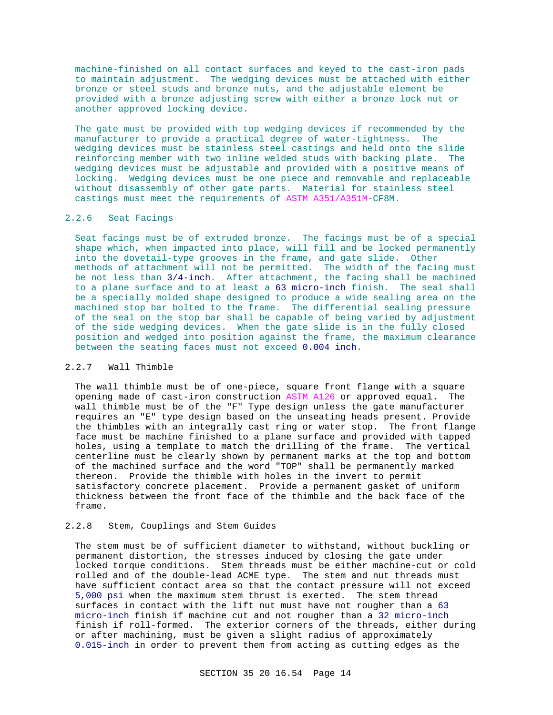machine-finished on all contact surfaces and keyed to the cast-iron pads to maintain adjustment. The wedging devices must be attached with either bronze or steel studs and bronze nuts, and the adjustable element be provided with a bronze adjusting screw with either a bronze lock nut or another approved locking device.

The gate must be provided with top wedging devices if recommended by the manufacturer to provide a practical degree of water-tightness. The wedging devices must be stainless steel castings and held onto the slide reinforcing member with two inline welded studs with backing plate. The wedging devices must be adjustable and provided with a positive means of locking. Wedging devices must be one piece and removable and replaceable without disassembly of other gate parts. Material for stainless steel castings must meet the requirements of ASTM A351/A351M-CF8M.

# 2.2.6 Seat Facings

Seat facings must be of extruded bronze. The facings must be of a special shape which, when impacted into place, will fill and be locked permanently into the dovetail-type grooves in the frame, and gate slide. Other methods of attachment will not be permitted. The width of the facing must be not less than 3/4-inch. After attachment, the facing shall be machined to a plane surface and to at least a 63 micro-inch finish. The seal shall be a specially molded shape designed to produce a wide sealing area on the machined stop bar bolted to the frame. The differential sealing pressure of the seal on the stop bar shall be capable of being varied by adjustment of the side wedging devices. When the gate slide is in the fully closed position and wedged into position against the frame, the maximum clearance between the seating faces must not exceed 0.004 inch.

### 2.2.7 Wall Thimble

The wall thimble must be of one-piece, square front flange with a square opening made of cast-iron construction ASTM A126 or approved equal. The wall thimble must be of the "F" Type design unless the gate manufacturer requires an "E" type design based on the unseating heads present. Provide the thimbles with an integrally cast ring or water stop. The front flange face must be machine finished to a plane surface and provided with tapped holes, using a template to match the drilling of the frame. The vertical centerline must be clearly shown by permanent marks at the top and bottom of the machined surface and the word "TOP" shall be permanently marked thereon. Provide the thimble with holes in the invert to permit satisfactory concrete placement. Provide a permanent gasket of uniform thickness between the front face of the thimble and the back face of the frame.

## 2.2.8 Stem, Couplings and Stem Guides

The stem must be of sufficient diameter to withstand, without buckling or permanent distortion, the stresses induced by closing the gate under locked torque conditions. Stem threads must be either machine-cut or cold rolled and of the double-lead ACME type. The stem and nut threads must have sufficient contact area so that the contact pressure will not exceed 5,000 psi when the maximum stem thrust is exerted. The stem thread surfaces in contact with the lift nut must have not rougher than a 63 micro-inch finish if machine cut and not rougher than a 32 micro-inch finish if roll-formed. The exterior corners of the threads, either during or after machining, must be given a slight radius of approximately 0.015-inch in order to prevent them from acting as cutting edges as the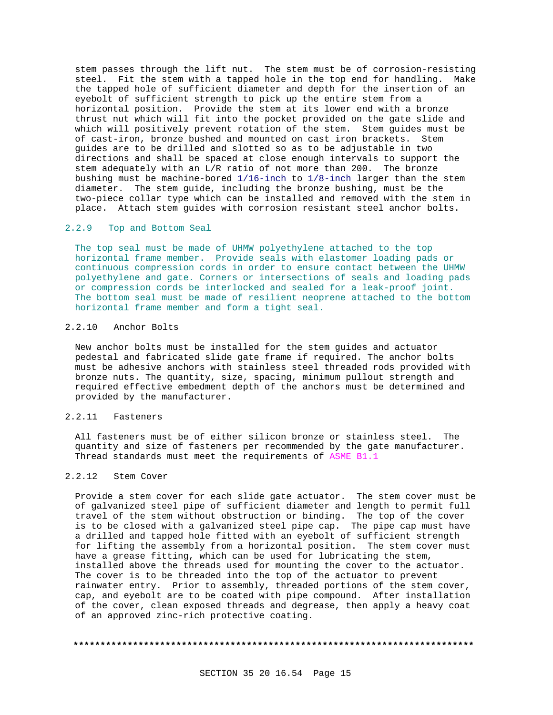stem passes through the lift nut. The stem must be of corrosion-resisting steel. Fit the stem with a tapped hole in the top end for handling. Make the tapped hole of sufficient diameter and depth for the insertion of an eyebolt of sufficient strength to pick up the entire stem from a horizontal position. Provide the stem at its lower end with a bronze thrust nut which will fit into the pocket provided on the gate slide and which will positively prevent rotation of the stem. Stem guides must be of cast-iron, bronze bushed and mounted on cast iron brackets. Stem guides are to be drilled and slotted so as to be adjustable in two directions and shall be spaced at close enough intervals to support the stem adequately with an L/R ratio of not more than 200. The bronze bushing must be machine-bored 1/16-inch to 1/8-inch larger than the stem diameter. The stem guide, including the bronze bushing, must be the two-piece collar type which can be installed and removed with the stem in place. Attach stem guides with corrosion resistant steel anchor bolts.

### 2.2.9 Top and Bottom Seal

The top seal must be made of UHMW polyethylene attached to the top horizontal frame member. Provide seals with elastomer loading pads or continuous compression cords in order to ensure contact between the UHMW polyethylene and gate. Corners or intersections of seals and loading pads or compression cords be interlocked and sealed for a leak-proof joint. The bottom seal must be made of resilient neoprene attached to the bottom horizontal frame member and form a tight seal.

## 2.2.10 Anchor Bolts

New anchor bolts must be installed for the stem guides and actuator pedestal and fabricated slide gate frame if required. The anchor bolts must be adhesive anchors with stainless steel threaded rods provided with bronze nuts. The quantity, size, spacing, minimum pullout strength and required effective embedment depth of the anchors must be determined and provided by the manufacturer.

## 2.2.11 Fasteners

All fasteners must be of either silicon bronze or stainless steel. The quantity and size of fasteners per recommended by the gate manufacturer. Thread standards must meet the requirements of ASME B1.1

### 2.2.12 Stem Cover

Provide a stem cover for each slide gate actuator. The stem cover must be of galvanized steel pipe of sufficient diameter and length to permit full travel of the stem without obstruction or binding. The top of the cover is to be closed with a galvanized steel pipe cap. The pipe cap must have a drilled and tapped hole fitted with an eyebolt of sufficient strength for lifting the assembly from a horizontal position. The stem cover must have a grease fitting, which can be used for lubricating the stem, installed above the threads used for mounting the cover to the actuator. The cover is to be threaded into the top of the actuator to prevent rainwater entry. Prior to assembly, threaded portions of the stem cover, cap, and eyebolt are to be coated with pipe compound. After installation of the cover, clean exposed threads and degrease, then apply a heavy coat of an approved zinc-rich protective coating.

#### **\*\*\*\*\*\*\*\*\*\*\*\*\*\*\*\*\*\*\*\*\*\*\*\*\*\*\*\*\*\*\*\*\*\*\*\*\*\*\*\*\*\*\*\*\*\*\*\*\*\*\*\*\*\*\*\*\*\*\*\*\*\*\*\*\*\*\*\*\*\*\*\*\*\***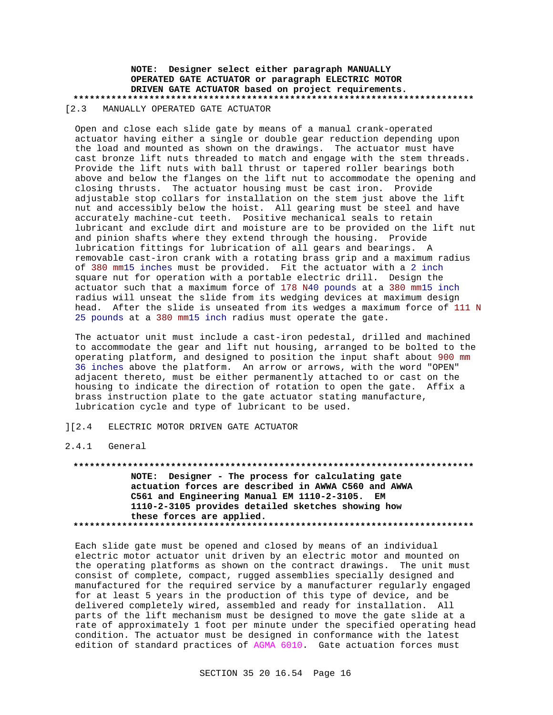## **NOTE: Designer select either paragraph MANUALLY OPERATED GATE ACTUATOR or paragraph ELECTRIC MOTOR DRIVEN GATE ACTUATOR based on project requirements. \*\*\*\*\*\*\*\*\*\*\*\*\*\*\*\*\*\*\*\*\*\*\*\*\*\*\*\*\*\*\*\*\*\*\*\*\*\*\*\*\*\*\*\*\*\*\*\*\*\*\*\*\*\*\*\*\*\*\*\*\*\*\*\*\*\*\*\*\*\*\*\*\*\*** [2.3 MANUALLY OPERATED GATE ACTUATOR

Open and close each slide gate by means of a manual crank-operated actuator having either a single or double gear reduction depending upon the load and mounted as shown on the drawings. The actuator must have cast bronze lift nuts threaded to match and engage with the stem threads. Provide the lift nuts with ball thrust or tapered roller bearings both above and below the flanges on the lift nut to accommodate the opening and closing thrusts. The actuator housing must be cast iron. Provide adjustable stop collars for installation on the stem just above the lift nut and accessibly below the hoist. All gearing must be steel and have accurately machine-cut teeth. Positive mechanical seals to retain lubricant and exclude dirt and moisture are to be provided on the lift nut and pinion shafts where they extend through the housing. Provide lubrication fittings for lubrication of all gears and bearings. A removable cast-iron crank with a rotating brass grip and a maximum radius of 380 mm15 inches must be provided. Fit the actuator with a 2 inch square nut for operation with a portable electric drill. Design the actuator such that a maximum force of 178 N40 pounds at a 380 mm15 inch radius will unseat the slide from its wedging devices at maximum design head. After the slide is unseated from its wedges a maximum force of 111 N 25 pounds at a 380 mm15 inch radius must operate the gate.

The actuator unit must include a cast-iron pedestal, drilled and machined to accommodate the gear and lift nut housing, arranged to be bolted to the operating platform, and designed to position the input shaft about 900 mm 36 inches above the platform. An arrow or arrows, with the word "OPEN" adjacent thereto, must be either permanently attached to or cast on the housing to indicate the direction of rotation to open the gate. Affix a brass instruction plate to the gate actuator stating manufacture, lubrication cycle and type of lubricant to be used.

#### ][2.4 ELECTRIC MOTOR DRIVEN GATE ACTUATOR

### 2.4.1 General

**\*\*\*\*\*\*\*\*\*\*\*\*\*\*\*\*\*\*\*\*\*\*\*\*\*\*\*\*\*\*\*\*\*\*\*\*\*\*\*\*\*\*\*\*\*\*\*\*\*\*\*\*\*\*\*\*\*\*\*\*\*\*\*\*\*\*\*\*\*\*\*\*\*\* NOTE: Designer - The process for calculating gate actuation forces are described in AWWA C560 and AWWA C561 and Engineering Manual EM 1110-2-3105. EM 1110-2-3105 provides detailed sketches showing how these forces are applied. \*\*\*\*\*\*\*\*\*\*\*\*\*\*\*\*\*\*\*\*\*\*\*\*\*\*\*\*\*\*\*\*\*\*\*\*\*\*\*\*\*\*\*\*\*\*\*\*\*\*\*\*\*\*\*\*\*\*\*\*\*\*\*\*\*\*\*\*\*\*\*\*\*\***

Each slide gate must be opened and closed by means of an individual electric motor actuator unit driven by an electric motor and mounted on the operating platforms as shown on the contract drawings. The unit must consist of complete, compact, rugged assemblies specially designed and manufactured for the required service by a manufacturer regularly engaged for at least 5 years in the production of this type of device, and be delivered completely wired, assembled and ready for installation. All parts of the lift mechanism must be designed to move the gate slide at a rate of approximately 1 foot per minute under the specified operating head condition. The actuator must be designed in conformance with the latest edition of standard practices of AGMA 6010. Gate actuation forces must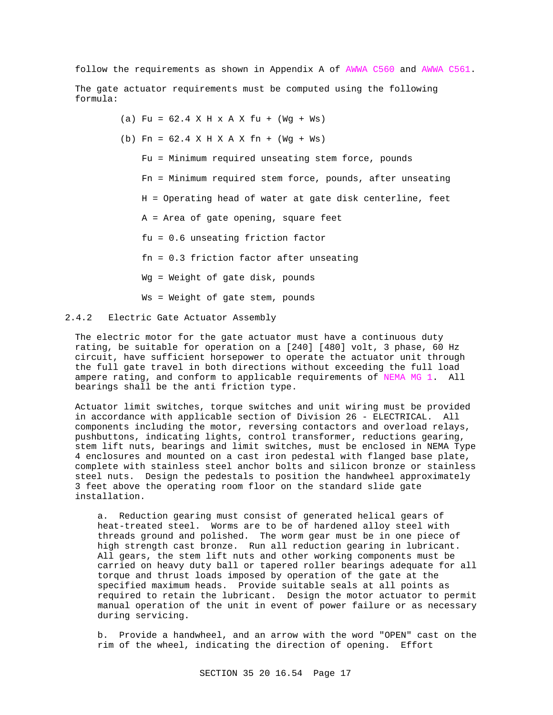follow the requirements as shown in Appendix A of AWWA C560 and AWWA C561.

The gate actuator requirements must be computed using the following formula:

> (a) Fu =  $62.4$  X H x A X fu + (Wg + Ws) (b) Fn = 62.4 X H X A X fn + (Wg + Ws) Fu = Minimum required unseating stem force, pounds Fn = Minimum required stem force, pounds, after unseating H = Operating head of water at gate disk centerline, feet A = Area of gate opening, square feet fu = 0.6 unseating friction factor fn = 0.3 friction factor after unseating Wg = Weight of gate disk, pounds Ws = Weight of gate stem, pounds

### 2.4.2 Electric Gate Actuator Assembly

The electric motor for the gate actuator must have a continuous duty rating, be suitable for operation on a [240] [480] volt, 3 phase, 60 Hz circuit, have sufficient horsepower to operate the actuator unit through the full gate travel in both directions without exceeding the full load ampere rating, and conform to applicable requirements of NEMA MG 1. All bearings shall be the anti friction type.

Actuator limit switches, torque switches and unit wiring must be provided in accordance with applicable section of Division 26 - ELECTRICAL. All components including the motor, reversing contactors and overload relays, pushbuttons, indicating lights, control transformer, reductions gearing, stem lift nuts, bearings and limit switches, must be enclosed in NEMA Type 4 enclosures and mounted on a cast iron pedestal with flanged base plate, complete with stainless steel anchor bolts and silicon bronze or stainless steel nuts. Design the pedestals to position the handwheel approximately 3 feet above the operating room floor on the standard slide gate installation.

a. Reduction gearing must consist of generated helical gears of heat-treated steel. Worms are to be of hardened alloy steel with threads ground and polished. The worm gear must be in one piece of high strength cast bronze. Run all reduction gearing in lubricant. All gears, the stem lift nuts and other working components must be carried on heavy duty ball or tapered roller bearings adequate for all torque and thrust loads imposed by operation of the gate at the specified maximum heads. Provide suitable seals at all points as required to retain the lubricant. Design the motor actuator to permit manual operation of the unit in event of power failure or as necessary during servicing.

b. Provide a handwheel, and an arrow with the word "OPEN" cast on the rim of the wheel, indicating the direction of opening. Effort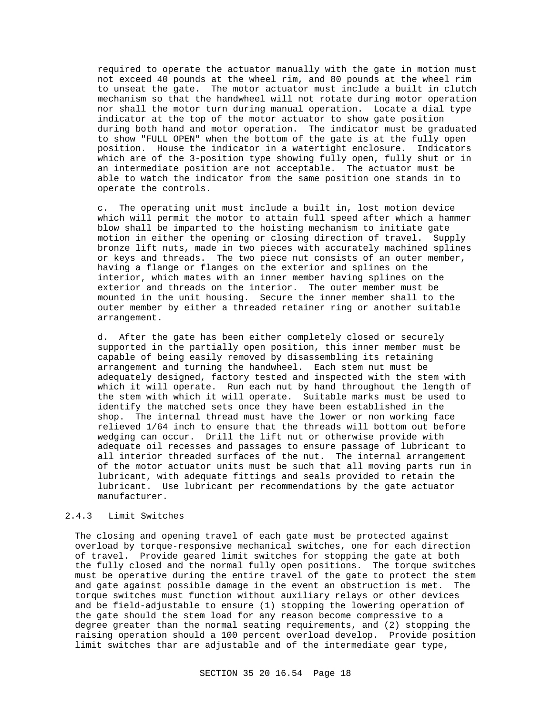required to operate the actuator manually with the gate in motion must not exceed 40 pounds at the wheel rim, and 80 pounds at the wheel rim to unseat the gate. The motor actuator must include a built in clutch mechanism so that the handwheel will not rotate during motor operation nor shall the motor turn during manual operation. Locate a dial type indicator at the top of the motor actuator to show gate position during both hand and motor operation. The indicator must be graduated to show "FULL OPEN" when the bottom of the gate is at the fully open position. House the indicator in a watertight enclosure. Indicators which are of the 3-position type showing fully open, fully shut or in an intermediate position are not acceptable. The actuator must be able to watch the indicator from the same position one stands in to operate the controls.

c. The operating unit must include a built in, lost motion device which will permit the motor to attain full speed after which a hammer blow shall be imparted to the hoisting mechanism to initiate gate motion in either the opening or closing direction of travel. Supply bronze lift nuts, made in two pieces with accurately machined splines or keys and threads. The two piece nut consists of an outer member, having a flange or flanges on the exterior and splines on the interior, which mates with an inner member having splines on the exterior and threads on the interior. The outer member must be mounted in the unit housing. Secure the inner member shall to the outer member by either a threaded retainer ring or another suitable arrangement.

d. After the gate has been either completely closed or securely supported in the partially open position, this inner member must be capable of being easily removed by disassembling its retaining arrangement and turning the handwheel. Each stem nut must be adequately designed, factory tested and inspected with the stem with which it will operate. Run each nut by hand throughout the length of the stem with which it will operate. Suitable marks must be used to identify the matched sets once they have been established in the shop. The internal thread must have the lower or non working face relieved 1/64 inch to ensure that the threads will bottom out before wedging can occur. Drill the lift nut or otherwise provide with adequate oil recesses and passages to ensure passage of lubricant to all interior threaded surfaces of the nut. The internal arrangement of the motor actuator units must be such that all moving parts run in lubricant, with adequate fittings and seals provided to retain the lubricant. Use lubricant per recommendations by the gate actuator manufacturer.

## 2.4.3 Limit Switches

The closing and opening travel of each gate must be protected against overload by torque-responsive mechanical switches, one for each direction of travel. Provide geared limit switches for stopping the gate at both the fully closed and the normal fully open positions. The torque switches must be operative during the entire travel of the gate to protect the stem and gate against possible damage in the event an obstruction is met. The torque switches must function without auxiliary relays or other devices and be field-adjustable to ensure (1) stopping the lowering operation of the gate should the stem load for any reason become compressive to a degree greater than the normal seating requirements, and (2) stopping the raising operation should a 100 percent overload develop. Provide position limit switches thar are adjustable and of the intermediate gear type,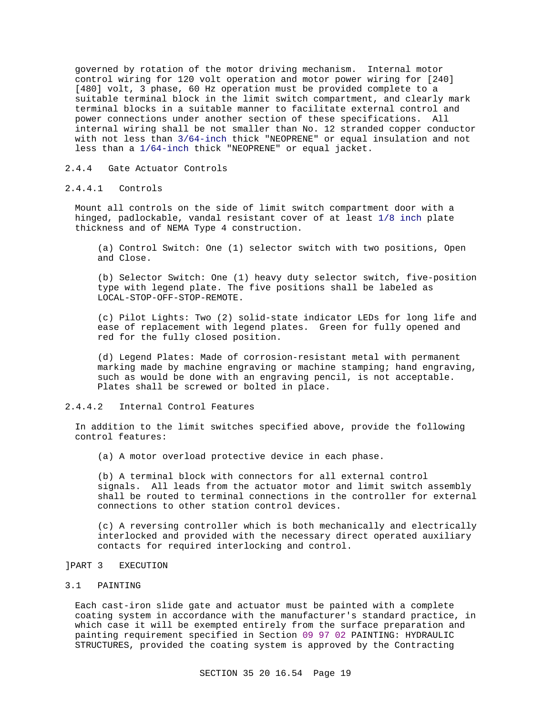governed by rotation of the motor driving mechanism. Internal motor control wiring for 120 volt operation and motor power wiring for [240] [480] volt, 3 phase, 60 Hz operation must be provided complete to a suitable terminal block in the limit switch compartment, and clearly mark terminal blocks in a suitable manner to facilitate external control and power connections under another section of these specifications. All internal wiring shall be not smaller than No. 12 stranded copper conductor with not less than 3/64-inch thick "NEOPRENE" or equal insulation and not less than a 1/64-inch thick "NEOPRENE" or equal jacket.

### 2.4.4 Gate Actuator Controls

#### 2.4.4.1 Controls

Mount all controls on the side of limit switch compartment door with a hinged, padlockable, vandal resistant cover of at least 1/8 inch plate thickness and of NEMA Type 4 construction.

(a) Control Switch: One (1) selector switch with two positions, Open and Close.

(b) Selector Switch: One (1) heavy duty selector switch, five-position type with legend plate. The five positions shall be labeled as LOCAL-STOP-OFF-STOP-REMOTE.

(c) Pilot Lights: Two (2) solid-state indicator LEDs for long life and ease of replacement with legend plates. Green for fully opened and red for the fully closed position.

(d) Legend Plates: Made of corrosion-resistant metal with permanent marking made by machine engraving or machine stamping; hand engraving, such as would be done with an engraving pencil, is not acceptable. Plates shall be screwed or bolted in place.

# 2.4.4.2 Internal Control Features

In addition to the limit switches specified above, provide the following control features:

(a) A motor overload protective device in each phase.

(b) A terminal block with connectors for all external control signals. All leads from the actuator motor and limit switch assembly shall be routed to terminal connections in the controller for external connections to other station control devices.

(c) A reversing controller which is both mechanically and electrically interlocked and provided with the necessary direct operated auxiliary contacts for required interlocking and control.

# ]PART 3 EXECUTION

### 3.1 PAINTING

Each cast-iron slide gate and actuator must be painted with a complete coating system in accordance with the manufacturer's standard practice, in which case it will be exempted entirely from the surface preparation and painting requirement specified in Section 09 97 02 PAINTING: HYDRAULIC STRUCTURES, provided the coating system is approved by the Contracting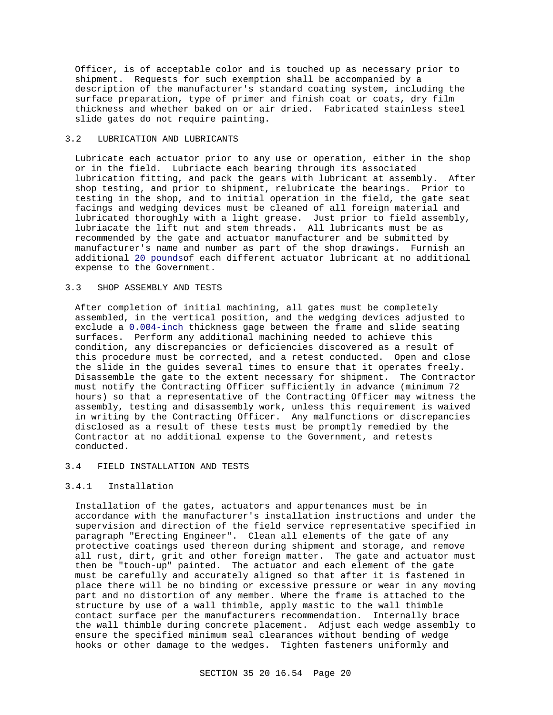Officer, is of acceptable color and is touched up as necessary prior to shipment. Requests for such exemption shall be accompanied by a description of the manufacturer's standard coating system, including the surface preparation, type of primer and finish coat or coats, dry film thickness and whether baked on or air dried. Fabricated stainless steel slide gates do not require painting.

### 3.2 LUBRICATION AND LUBRICANTS

Lubricate each actuator prior to any use or operation, either in the shop or in the field. Lubriacte each bearing through its associated lubrication fitting, and pack the gears with lubricant at assembly. After shop testing, and prior to shipment, relubricate the bearings. Prior to testing in the shop, and to initial operation in the field, the gate seat facings and wedging devices must be cleaned of all foreign material and lubricated thoroughly with a light grease. Just prior to field assembly, lubriacate the lift nut and stem threads. All lubricants must be as recommended by the gate and actuator manufacturer and be submitted by manufacturer's name and number as part of the shop drawings. Furnish an additional 20 poundsof each different actuator lubricant at no additional expense to the Government.

### 3.3 SHOP ASSEMBLY AND TESTS

After completion of initial machining, all gates must be completely assembled, in the vertical position, and the wedging devices adjusted to exclude a 0.004-inch thickness gage between the frame and slide seating surfaces. Perform any additional machining needed to achieve this condition, any discrepancies or deficiencies discovered as a result of this procedure must be corrected, and a retest conducted. Open and close the slide in the guides several times to ensure that it operates freely. Disassemble the gate to the extent necessary for shipment. The Contractor must notify the Contracting Officer sufficiently in advance (minimum 72 hours) so that a representative of the Contracting Officer may witness the assembly, testing and disassembly work, unless this requirement is waived in writing by the Contracting Officer. Any malfunctions or discrepancies disclosed as a result of these tests must be promptly remedied by the Contractor at no additional expense to the Government, and retests conducted.

### 3.4 FIELD INSTALLATION AND TESTS

### 3.4.1 Installation

Installation of the gates, actuators and appurtenances must be in accordance with the manufacturer's installation instructions and under the supervision and direction of the field service representative specified in paragraph "Erecting Engineer". Clean all elements of the gate of any protective coatings used thereon during shipment and storage, and remove all rust, dirt, grit and other foreign matter. The gate and actuator must then be "touch-up" painted. The actuator and each element of the gate must be carefully and accurately aligned so that after it is fastened in place there will be no binding or excessive pressure or wear in any moving part and no distortion of any member. Where the frame is attached to the structure by use of a wall thimble, apply mastic to the wall thimble contact surface per the manufacturers recommendation. Internally brace the wall thimble during concrete placement. Adjust each wedge assembly to ensure the specified minimum seal clearances without bending of wedge hooks or other damage to the wedges. Tighten fasteners uniformly and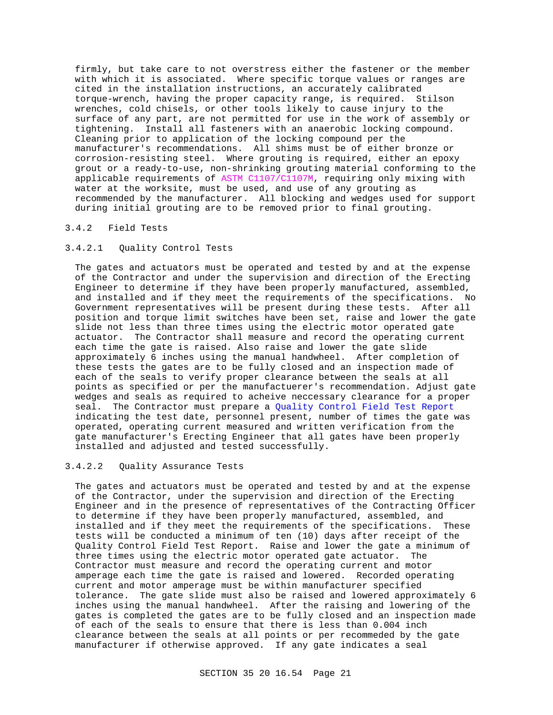firmly, but take care to not overstress either the fastener or the member with which it is associated. Where specific torque values or ranges are cited in the installation instructions, an accurately calibrated torque-wrench, having the proper capacity range, is required. Stilson wrenches, cold chisels, or other tools likely to cause injury to the surface of any part, are not permitted for use in the work of assembly or tightening. Install all fasteners with an anaerobic locking compound. Cleaning prior to application of the locking compound per the manufacturer's recommendations. All shims must be of either bronze or corrosion-resisting steel. Where grouting is required, either an epoxy grout or a ready-to-use, non-shrinking grouting material conforming to the applicable requirements of ASTM C1107/C1107M, requiring only mixing with water at the worksite, must be used, and use of any grouting as recommended by the manufacturer. All blocking and wedges used for support during initial grouting are to be removed prior to final grouting.

### 3.4.2 Field Tests

## 3.4.2.1 Quality Control Tests

The gates and actuators must be operated and tested by and at the expense of the Contractor and under the supervision and direction of the Erecting Engineer to determine if they have been properly manufactured, assembled, and installed and if they meet the requirements of the specifications. No Government representatives will be present during these tests. After all position and torque limit switches have been set, raise and lower the gate slide not less than three times using the electric motor operated gate actuator. The Contractor shall measure and record the operating current each time the gate is raised. Also raise and lower the gate slide approximately 6 inches using the manual handwheel. After completion of these tests the gates are to be fully closed and an inspection made of each of the seals to verify proper clearance between the seals at all points as specified or per the manufactuerer's recommendation. Adjust gate wedges and seals as required to acheive neccessary clearance for a proper seal. The Contractor must prepare a Quality Control Field Test Report indicating the test date, personnel present, number of times the gate was operated, operating current measured and written verification from the gate manufacturer's Erecting Engineer that all gates have been properly installed and adjusted and tested successfully.

### 3.4.2.2 Quality Assurance Tests

The gates and actuators must be operated and tested by and at the expense of the Contractor, under the supervision and direction of the Erecting Engineer and in the presence of representatives of the Contracting Officer to determine if they have been properly manufactured, assembled, and installed and if they meet the requirements of the specifications. These tests will be conducted a minimum of ten (10) days after receipt of the Quality Control Field Test Report. Raise and lower the gate a minimum of three times using the electric motor operated gate actuator. The Contractor must measure and record the operating current and motor amperage each time the gate is raised and lowered. Recorded operating current and motor amperage must be within manufacturer specified tolerance. The gate slide must also be raised and lowered approximately 6 inches using the manual handwheel. After the raising and lowering of the gates is completed the gates are to be fully closed and an inspection made of each of the seals to ensure that there is less than 0.004 inch clearance between the seals at all points or per recommeded by the gate manufacturer if otherwise approved. If any gate indicates a seal